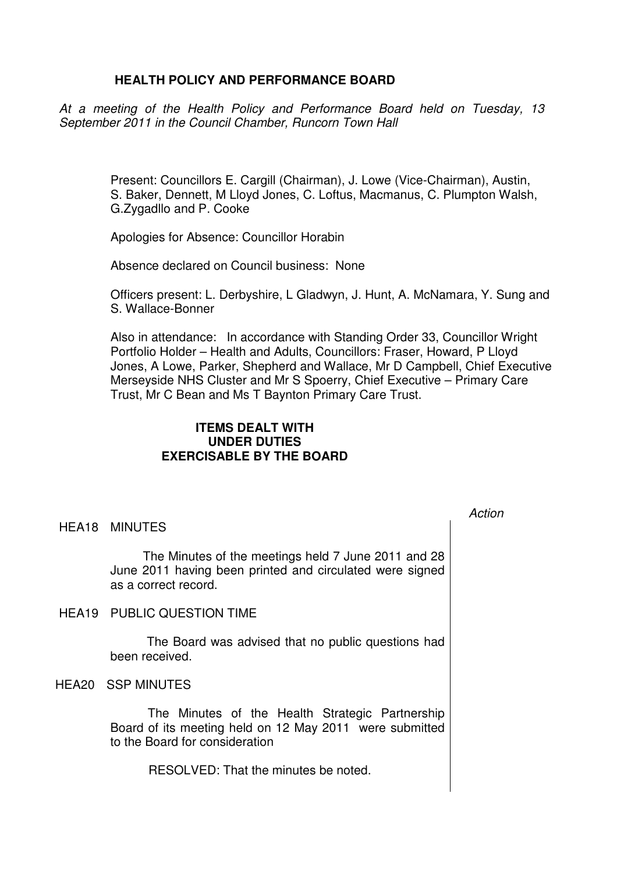# **HEALTH POLICY AND PERFORMANCE BOARD**

At a meeting of the Health Policy and Performance Board held on Tuesday, 13 September 2011 in the Council Chamber, Runcorn Town Hall

> Present: Councillors E. Cargill (Chairman), J. Lowe (Vice-Chairman), Austin, S. Baker, Dennett, M Lloyd Jones, C. Loftus, Macmanus, C. Plumpton Walsh, G.Zygadllo and P. Cooke

Apologies for Absence: Councillor Horabin

Absence declared on Council business: None

Officers present: L. Derbyshire, L Gladwyn, J. Hunt, A. McNamara, Y. Sung and S. Wallace-Bonner

Also in attendance: In accordance with Standing Order 33, Councillor Wright Portfolio Holder – Health and Adults, Councillors: Fraser, Howard, P Lloyd Jones, A Lowe, Parker, Shepherd and Wallace, Mr D Campbell, Chief Executive Merseyside NHS Cluster and Mr S Spoerry, Chief Executive – Primary Care Trust, Mr C Bean and Ms T Baynton Primary Care Trust.

# **ITEMS DEALT WITH UNDER DUTIES EXERCISABLE BY THE BOARD**

HEA18 MINUTES

 The Minutes of the meetings held 7 June 2011 and 28 June 2011 having been printed and circulated were signed as a correct record.

HEA19 PUBLIC QUESTION TIME

 The Board was advised that no public questions had been received.

HEA20 SSP MINUTES

 The Minutes of the Health Strategic Partnership Board of its meeting held on 12 May 2011 were submitted to the Board for consideration

RESOLVED: That the minutes be noted.

Action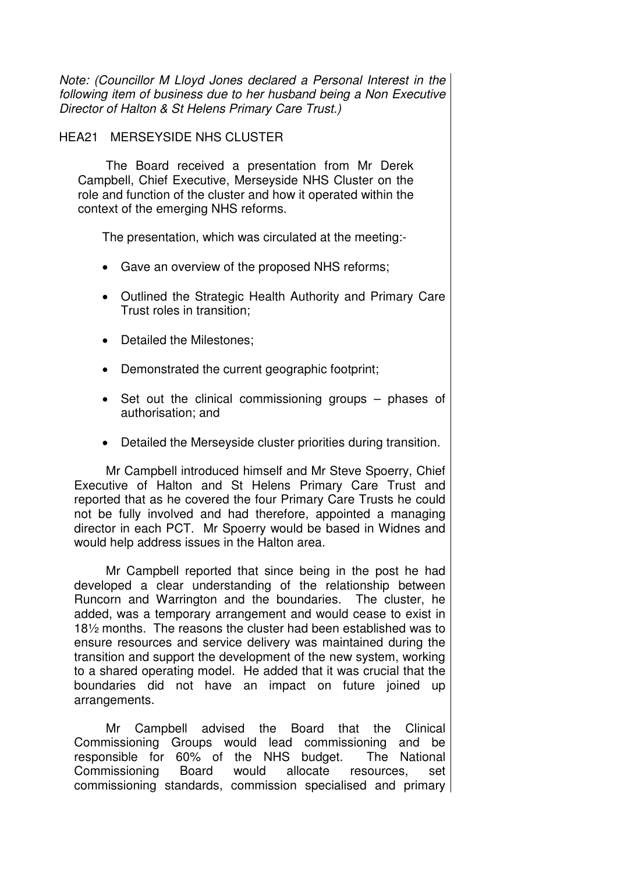Note: (Councillor M Lloyd Jones declared a Personal Interest in the following item of business due to her husband being a Non Executive Director of Halton & St Helens Primary Care Trust.)

## HEA21 MERSEYSIDE NHS CLUSTER

 The Board received a presentation from Mr Derek Campbell, Chief Executive, Merseyside NHS Cluster on the role and function of the cluster and how it operated within the context of the emerging NHS reforms.

The presentation, which was circulated at the meeting:-

- Gave an overview of the proposed NHS reforms;
- Outlined the Strategic Health Authority and Primary Care Trust roles in transition;
- Detailed the Milestones;
- Demonstrated the current geographic footprint:
- Set out the clinical commissioning groups phases of authorisation; and
- Detailed the Merseyside cluster priorities during transition.

Mr Campbell introduced himself and Mr Steve Spoerry, Chief Executive of Halton and St Helens Primary Care Trust and reported that as he covered the four Primary Care Trusts he could not be fully involved and had therefore, appointed a managing director in each PCT. Mr Spoerry would be based in Widnes and would help address issues in the Halton area.

Mr Campbell reported that since being in the post he had developed a clear understanding of the relationship between Runcorn and Warrington and the boundaries. The cluster, he added, was a temporary arrangement and would cease to exist in 18½ months. The reasons the cluster had been established was to ensure resources and service delivery was maintained during the transition and support the development of the new system, working to a shared operating model. He added that it was crucial that the boundaries did not have an impact on future joined up arrangements.

Mr Campbell advised the Board that the Clinical Commissioning Groups would lead commissioning and be responsible for 60% of the NHS budget. The National Commissioning Board would allocate resources, set commissioning standards, commission specialised and primary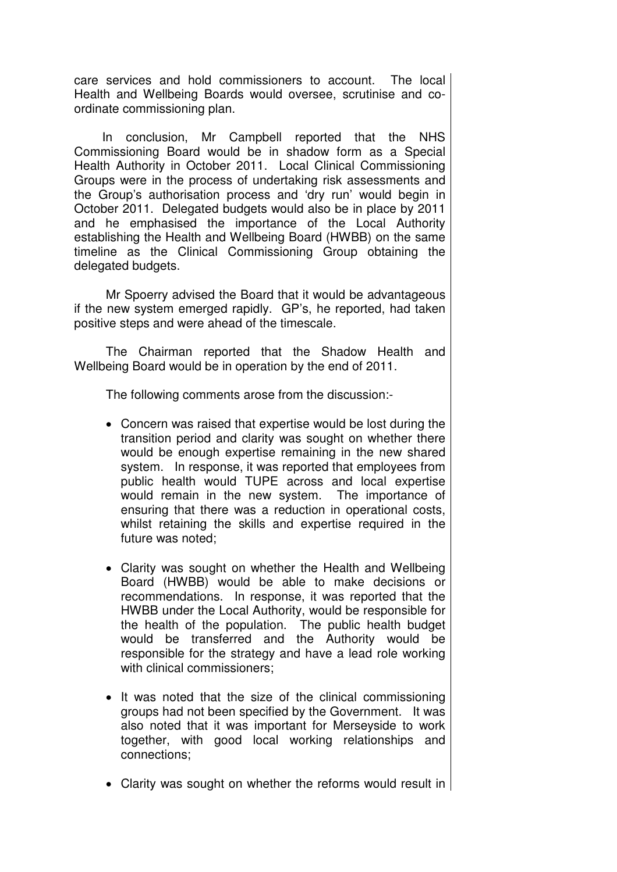care services and hold commissioners to account. The local Health and Wellbeing Boards would oversee, scrutinise and coordinate commissioning plan.

In conclusion, Mr Campbell reported that the NHS Commissioning Board would be in shadow form as a Special Health Authority in October 2011. Local Clinical Commissioning Groups were in the process of undertaking risk assessments and the Group's authorisation process and 'dry run' would begin in October 2011. Delegated budgets would also be in place by 2011 and he emphasised the importance of the Local Authority establishing the Health and Wellbeing Board (HWBB) on the same timeline as the Clinical Commissioning Group obtaining the delegated budgets.

Mr Spoerry advised the Board that it would be advantageous if the new system emerged rapidly. GP's, he reported, had taken positive steps and were ahead of the timescale.

The Chairman reported that the Shadow Health and Wellbeing Board would be in operation by the end of 2011.

The following comments arose from the discussion:-

- Concern was raised that expertise would be lost during the transition period and clarity was sought on whether there would be enough expertise remaining in the new shared system. In response, it was reported that employees from public health would TUPE across and local expertise would remain in the new system. The importance of ensuring that there was a reduction in operational costs, whilst retaining the skills and expertise required in the future was noted;
- Clarity was sought on whether the Health and Wellbeing Board (HWBB) would be able to make decisions or recommendations. In response, it was reported that the HWBB under the Local Authority, would be responsible for the health of the population. The public health budget would be transferred and the Authority would be responsible for the strategy and have a lead role working with clinical commissioners:
- It was noted that the size of the clinical commissioning groups had not been specified by the Government. It was also noted that it was important for Merseyside to work together, with good local working relationships and connections;
- Clarity was sought on whether the reforms would result in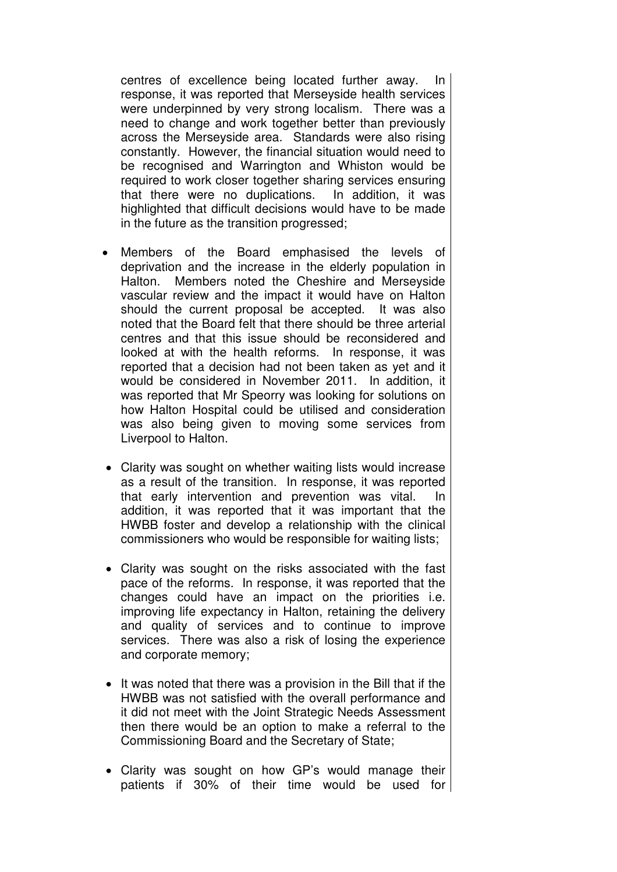centres of excellence being located further away. In response, it was reported that Merseyside health services were underpinned by very strong localism. There was a need to change and work together better than previously across the Merseyside area. Standards were also rising constantly. However, the financial situation would need to be recognised and Warrington and Whiston would be required to work closer together sharing services ensuring that there were no duplications. In addition, it was highlighted that difficult decisions would have to be made in the future as the transition progressed;

- Members of the Board emphasised the levels of deprivation and the increase in the elderly population in Halton. Members noted the Cheshire and Merseyside vascular review and the impact it would have on Halton should the current proposal be accepted. It was also noted that the Board felt that there should be three arterial centres and that this issue should be reconsidered and looked at with the health reforms. In response, it was reported that a decision had not been taken as yet and it would be considered in November 2011. In addition, it was reported that Mr Speorry was looking for solutions on how Halton Hospital could be utilised and consideration was also being given to moving some services from Liverpool to Halton.
- Clarity was sought on whether waiting lists would increase as a result of the transition. In response, it was reported that early intervention and prevention was vital. In addition, it was reported that it was important that the HWBB foster and develop a relationship with the clinical commissioners who would be responsible for waiting lists;
- Clarity was sought on the risks associated with the fast pace of the reforms. In response, it was reported that the changes could have an impact on the priorities i.e. improving life expectancy in Halton, retaining the delivery and quality of services and to continue to improve services. There was also a risk of losing the experience and corporate memory;
- It was noted that there was a provision in the Bill that if the HWBB was not satisfied with the overall performance and it did not meet with the Joint Strategic Needs Assessment then there would be an option to make a referral to the Commissioning Board and the Secretary of State;
- Clarity was sought on how GP's would manage their patients if 30% of their time would be used for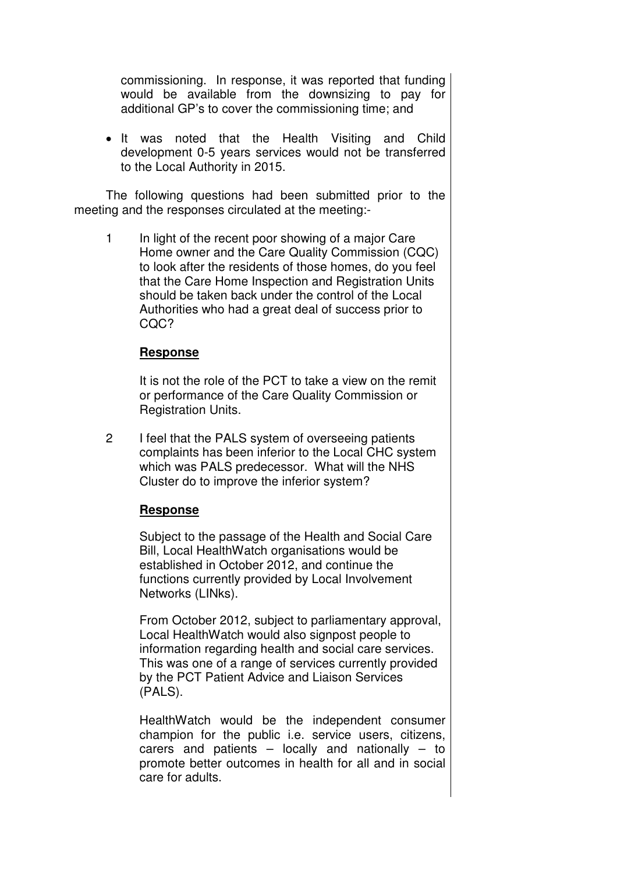commissioning. In response, it was reported that funding would be available from the downsizing to pay for additional GP's to cover the commissioning time; and

• It was noted that the Health Visiting and Child development 0-5 years services would not be transferred to the Local Authority in 2015.

The following questions had been submitted prior to the meeting and the responses circulated at the meeting:-

1 In light of the recent poor showing of a major Care Home owner and the Care Quality Commission (CQC) to look after the residents of those homes, do you feel that the Care Home Inspection and Registration Units should be taken back under the control of the Local Authorities who had a great deal of success prior to CQC?

## **Response**

It is not the role of the PCT to take a view on the remit or performance of the Care Quality Commission or Registration Units.

2 I feel that the PALS system of overseeing patients complaints has been inferior to the Local CHC system which was PALS predecessor. What will the NHS Cluster do to improve the inferior system?

## **Response**

Subject to the passage of the Health and Social Care Bill, Local HealthWatch organisations would be established in October 2012, and continue the functions currently provided by Local Involvement Networks (LINks).

From October 2012, subject to parliamentary approval, Local HealthWatch would also signpost people to information regarding health and social care services. This was one of a range of services currently provided by the PCT Patient Advice and Liaison Services (PALS).

HealthWatch would be the independent consumer champion for the public i.e. service users, citizens, carers and patients – locally and nationally – to promote better outcomes in health for all and in social care for adults.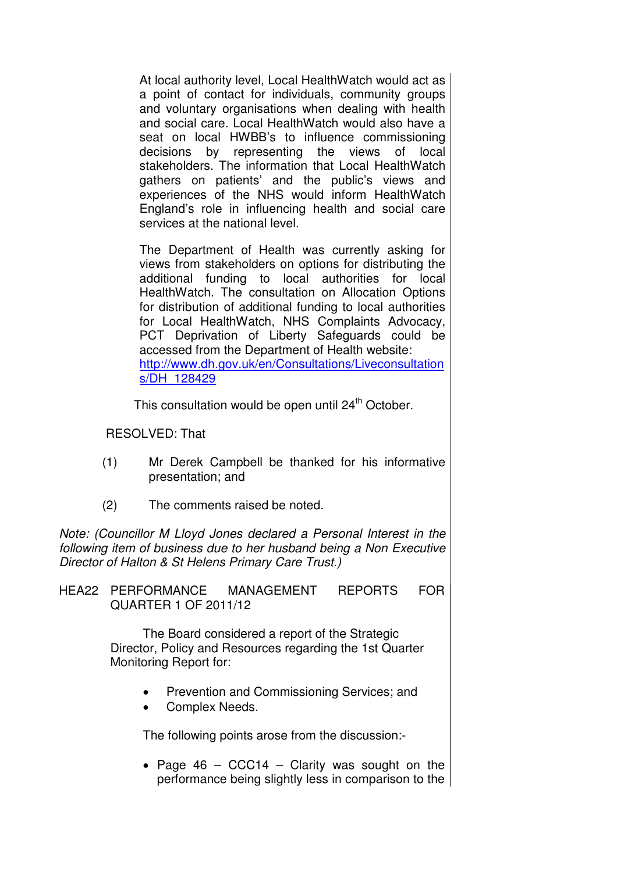At local authority level, Local HealthWatch would act as a point of contact for individuals, community groups and voluntary organisations when dealing with health and social care. Local HealthWatch would also have a seat on local HWBB's to influence commissioning decisions by representing the views of local stakeholders. The information that Local HealthWatch gathers on patients' and the public's views and experiences of the NHS would inform HealthWatch England's role in influencing health and social care services at the national level.

The Department of Health was currently asking for views from stakeholders on options for distributing the additional funding to local authorities for local HealthWatch. The consultation on Allocation Options for distribution of additional funding to local authorities for Local HealthWatch, NHS Complaints Advocacy, PCT Deprivation of Liberty Safeguards could be accessed from the Department of Health website: http://www.dh.gov.uk/en/Consultations/Liveconsultation s/DH\_128429

This consultation would be open until 24<sup>th</sup> October.

RESOLVED: That

- (1) Mr Derek Campbell be thanked for his informative presentation; and
- (2) The comments raised be noted.

Note: (Councillor M Lloyd Jones declared a Personal Interest in the following item of business due to her husband being a Non Executive Director of Halton & St Helens Primary Care Trust.)

| HEA22 PERFORMANCE    | MANAGEMENT | REPORTS | <b>FOR</b> |
|----------------------|------------|---------|------------|
| QUARTER 1 OF 2011/12 |            |         |            |

 The Board considered a report of the Strategic Director, Policy and Resources regarding the 1st Quarter Monitoring Report for:

- Prevention and Commissioning Services; and
- Complex Needs.

The following points arose from the discussion:-

• Page  $46 - CCC14 - Clarity$  was sought on the performance being slightly less in comparison to the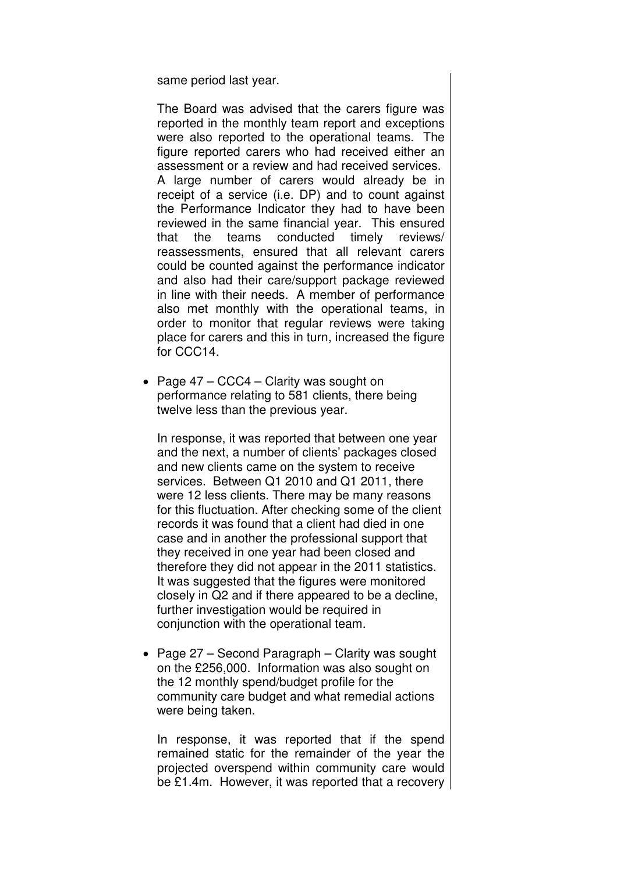same period last year.

The Board was advised that the carers figure was reported in the monthly team report and exceptions were also reported to the operational teams. The figure reported carers who had received either an assessment or a review and had received services. A large number of carers would already be in receipt of a service (i.e. DP) and to count against the Performance Indicator they had to have been reviewed in the same financial year. This ensured that the teams conducted timely reviews/ reassessments, ensured that all relevant carers could be counted against the performance indicator and also had their care/support package reviewed in line with their needs. A member of performance also met monthly with the operational teams, in order to monitor that regular reviews were taking place for carers and this in turn, increased the figure for CCC14.

• Page 47 – CCC4 – Clarity was sought on performance relating to 581 clients, there being twelve less than the previous year.

In response, it was reported that between one year and the next, a number of clients' packages closed and new clients came on the system to receive services. Between Q1 2010 and Q1 2011, there were 12 less clients. There may be many reasons for this fluctuation. After checking some of the client records it was found that a client had died in one case and in another the professional support that they received in one year had been closed and therefore they did not appear in the 2011 statistics. It was suggested that the figures were monitored closely in Q2 and if there appeared to be a decline, further investigation would be required in conjunction with the operational team.

• Page 27 – Second Paragraph – Clarity was sought on the £256,000. Information was also sought on the 12 monthly spend/budget profile for the community care budget and what remedial actions were being taken.

In response, it was reported that if the spend remained static for the remainder of the year the projected overspend within community care would be £1.4m. However, it was reported that a recovery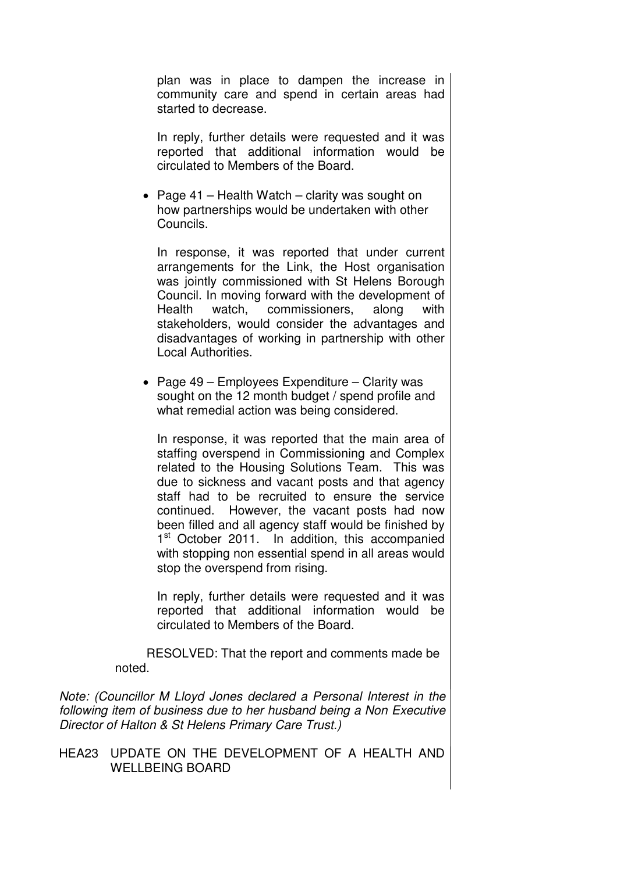plan was in place to dampen the increase in community care and spend in certain areas had started to decrease.

In reply, further details were requested and it was reported that additional information would be circulated to Members of the Board.

• Page 41 – Health Watch – clarity was sought on how partnerships would be undertaken with other Councils.

In response, it was reported that under current arrangements for the Link, the Host organisation was jointly commissioned with St Helens Borough Council. In moving forward with the development of Health watch, commissioners, along with stakeholders, would consider the advantages and disadvantages of working in partnership with other Local Authorities.

• Page 49 – Employees Expenditure – Clarity was sought on the 12 month budget / spend profile and what remedial action was being considered.

In response, it was reported that the main area of staffing overspend in Commissioning and Complex related to the Housing Solutions Team. This was due to sickness and vacant posts and that agency staff had to be recruited to ensure the service continued. However, the vacant posts had now been filled and all agency staff would be finished by 1<sup>st</sup> October 2011. In addition, this accompanied with stopping non essential spend in all areas would stop the overspend from rising.

In reply, further details were requested and it was reported that additional information would be circulated to Members of the Board.

 RESOLVED: That the report and comments made be noted.

Note: (Councillor M Lloyd Jones declared a Personal Interest in the following item of business due to her husband being a Non Executive Director of Halton & St Helens Primary Care Trust.)

HEA23 UPDATE ON THE DEVELOPMENT OF A HEALTH AND WELL BEING BOARD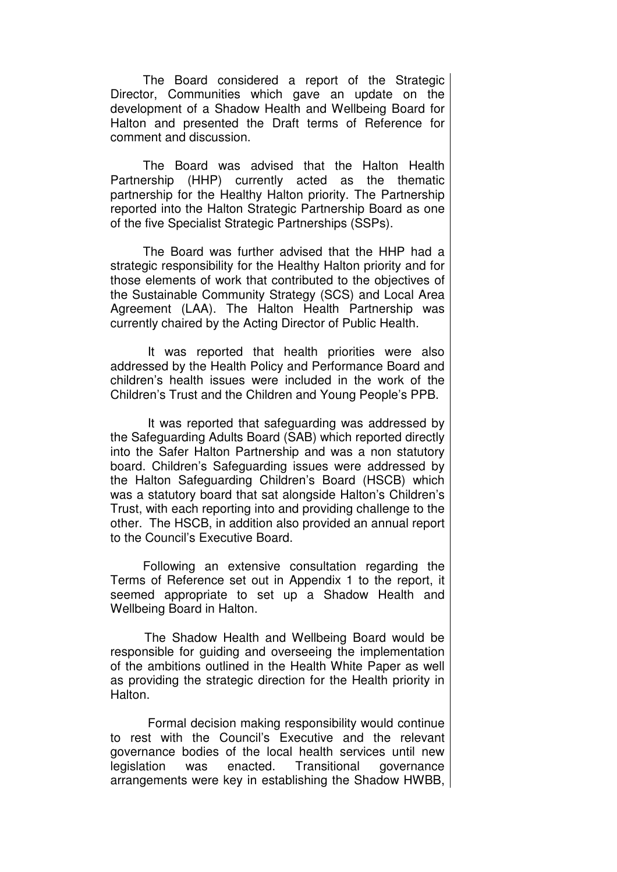The Board considered a report of the Strategic Director, Communities which gave an update on the development of a Shadow Health and Wellbeing Board for Halton and presented the Draft terms of Reference for comment and discussion.

The Board was advised that the Halton Health Partnership (HHP) currently acted as the thematic partnership for the Healthy Halton priority. The Partnership reported into the Halton Strategic Partnership Board as one of the five Specialist Strategic Partnerships (SSPs).

 The Board was further advised that the HHP had a strategic responsibility for the Healthy Halton priority and for those elements of work that contributed to the objectives of the Sustainable Community Strategy (SCS) and Local Area Agreement (LAA). The Halton Health Partnership was currently chaired by the Acting Director of Public Health.

 It was reported that health priorities were also addressed by the Health Policy and Performance Board and children's health issues were included in the work of the Children's Trust and the Children and Young People's PPB.

 It was reported that safeguarding was addressed by the Safeguarding Adults Board (SAB) which reported directly into the Safer Halton Partnership and was a non statutory board. Children's Safeguarding issues were addressed by the Halton Safeguarding Children's Board (HSCB) which was a statutory board that sat alongside Halton's Children's Trust, with each reporting into and providing challenge to the other. The HSCB, in addition also provided an annual report to the Council's Executive Board.

 Following an extensive consultation regarding the Terms of Reference set out in Appendix 1 to the report, it seemed appropriate to set up a Shadow Health and Wellbeing Board in Halton.

 The Shadow Health and Wellbeing Board would be responsible for guiding and overseeing the implementation of the ambitions outlined in the Health White Paper as well as providing the strategic direction for the Health priority in Halton.

 Formal decision making responsibility would continue to rest with the Council's Executive and the relevant governance bodies of the local health services until new legislation was enacted. Transitional governance arrangements were key in establishing the Shadow HWBB,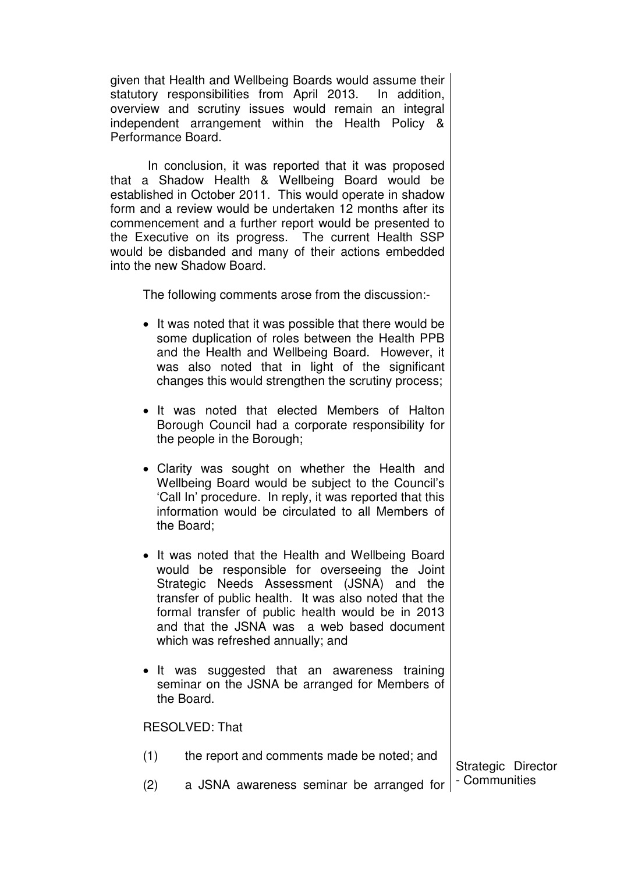given that Health and Wellbeing Boards would assume their statutory responsibilities from April 2013. In addition, overview and scrutiny issues would remain an integral independent arrangement within the Health Policy & Performance Board.

 In conclusion, it was reported that it was proposed that a Shadow Health & Wellbeing Board would be established in October 2011. This would operate in shadow form and a review would be undertaken 12 months after its commencement and a further report would be presented to the Executive on its progress. The current Health SSP would be disbanded and many of their actions embedded into the new Shadow Board.

The following comments arose from the discussion:-

- It was noted that it was possible that there would be some duplication of roles between the Health PPB and the Health and Wellbeing Board. However, it was also noted that in light of the significant changes this would strengthen the scrutiny process;
- It was noted that elected Members of Halton Borough Council had a corporate responsibility for the people in the Borough;
- Clarity was sought on whether the Health and Wellbeing Board would be subject to the Council's 'Call In' procedure. In reply, it was reported that this information would be circulated to all Members of the Board;
- It was noted that the Health and Wellbeing Board would be responsible for overseeing the Joint Strategic Needs Assessment (JSNA) and the transfer of public health. It was also noted that the formal transfer of public health would be in 2013 and that the JSNA was a web based document which was refreshed annually; and
- It was suggested that an awareness training seminar on the JSNA be arranged for Members of the Board.

RESOLVED: That

| (1) | the report and comments made be noted; and                     |                    |
|-----|----------------------------------------------------------------|--------------------|
|     |                                                                | Strategic Director |
| (2) | a JSNA awareness seminar be arranged for $\vert$ - Communities |                    |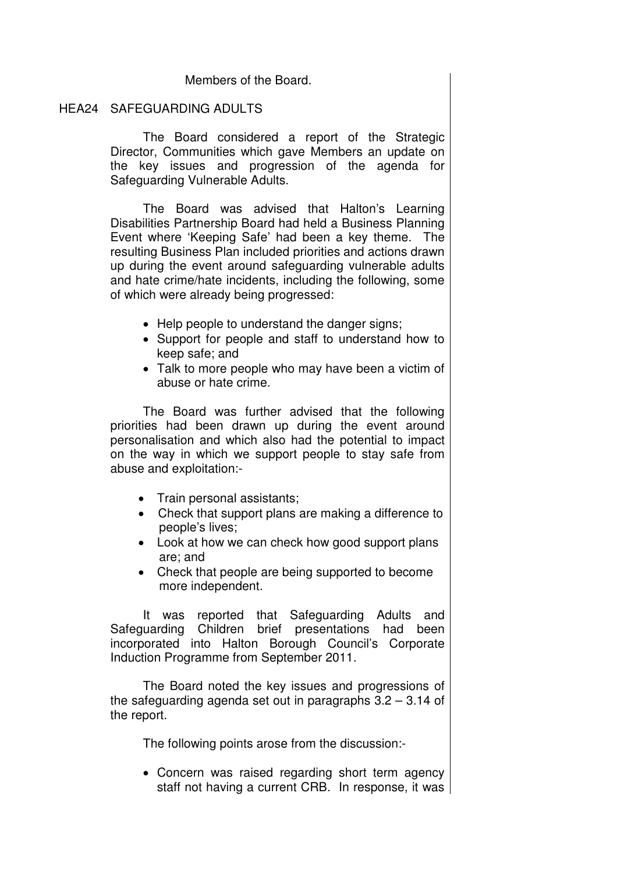## Members of the Board.

### HEA24 SAFEGUARDING ADULTS

 The Board considered a report of the Strategic Director, Communities which gave Members an update on the key issues and progression of the agenda for Safeguarding Vulnerable Adults.

The Board was advised that Halton's Learning Disabilities Partnership Board had held a Business Planning Event where 'Keeping Safe' had been a key theme. The resulting Business Plan included priorities and actions drawn up during the event around safeguarding vulnerable adults and hate crime/hate incidents, including the following, some of which were already being progressed:

- Help people to understand the danger signs;
- Support for people and staff to understand how to keep safe; and
- Talk to more people who may have been a victim of abuse or hate crime.

The Board was further advised that the following priorities had been drawn up during the event around personalisation and which also had the potential to impact on the way in which we support people to stay safe from abuse and exploitation:-

- Train personal assistants;
- Check that support plans are making a difference to people's lives;
- Look at how we can check how good support plans are; and
- Check that people are being supported to become more independent.

It was reported that Safeguarding Adults and Safeguarding Children brief presentations had been incorporated into Halton Borough Council's Corporate Induction Programme from September 2011.

The Board noted the key issues and progressions of the safeguarding agenda set out in paragraphs 3.2 – 3.14 of the report.

The following points arose from the discussion:-

• Concern was raised regarding short term agency staff not having a current CRB. In response, it was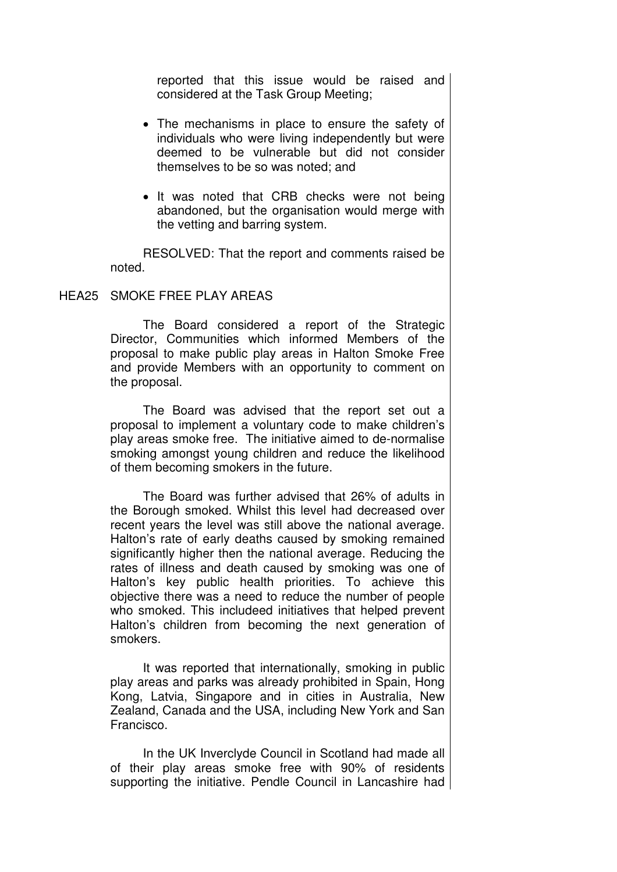reported that this issue would be raised and considered at the Task Group Meeting;

- The mechanisms in place to ensure the safety of individuals who were living independently but were deemed to be vulnerable but did not consider themselves to be so was noted; and
- It was noted that CRB checks were not being abandoned, but the organisation would merge with the vetting and barring system.

RESOLVED: That the report and comments raised be noted.

#### HEA25 SMOKE FREE PLAY AREAS

 The Board considered a report of the Strategic Director, Communities which informed Members of the proposal to make public play areas in Halton Smoke Free and provide Members with an opportunity to comment on the proposal.

The Board was advised that the report set out a proposal to implement a voluntary code to make children's play areas smoke free. The initiative aimed to de-normalise smoking amongst young children and reduce the likelihood of them becoming smokers in the future.

The Board was further advised that 26% of adults in the Borough smoked. Whilst this level had decreased over recent years the level was still above the national average. Halton's rate of early deaths caused by smoking remained significantly higher then the national average. Reducing the rates of illness and death caused by smoking was one of Halton's key public health priorities. To achieve this objective there was a need to reduce the number of people who smoked. This includeed initiatives that helped prevent Halton's children from becoming the next generation of smokers.

It was reported that internationally, smoking in public play areas and parks was already prohibited in Spain, Hong Kong, Latvia, Singapore and in cities in Australia, New Zealand, Canada and the USA, including New York and San Francisco.

In the UK Inverclyde Council in Scotland had made all of their play areas smoke free with 90% of residents supporting the initiative. Pendle Council in Lancashire had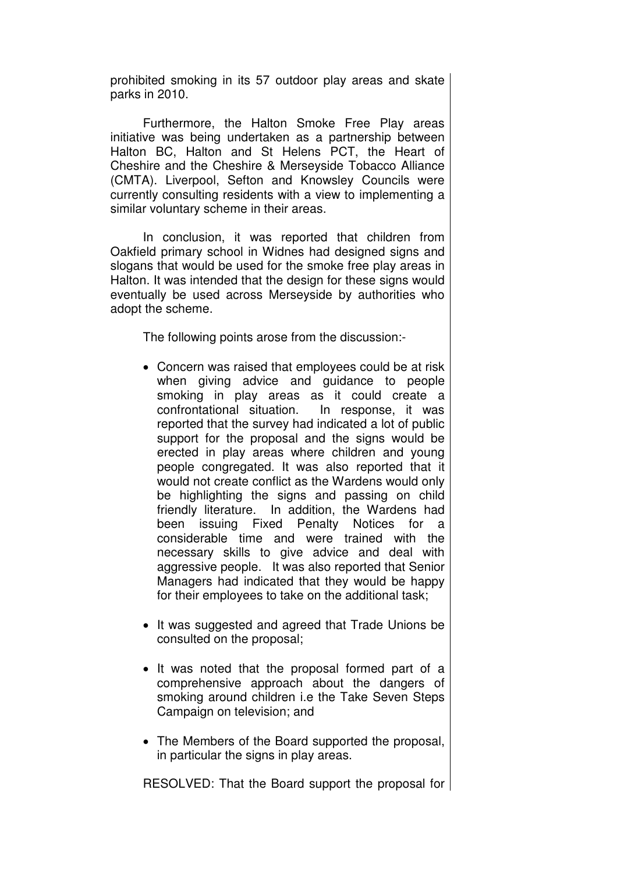prohibited smoking in its 57 outdoor play areas and skate parks in 2010.

Furthermore, the Halton Smoke Free Play areas initiative was being undertaken as a partnership between Halton BC, Halton and St Helens PCT, the Heart of Cheshire and the Cheshire & Merseyside Tobacco Alliance (CMTA). Liverpool, Sefton and Knowsley Councils were currently consulting residents with a view to implementing a similar voluntary scheme in their areas.

In conclusion, it was reported that children from Oakfield primary school in Widnes had designed signs and slogans that would be used for the smoke free play areas in Halton. It was intended that the design for these signs would eventually be used across Merseyside by authorities who adopt the scheme.

The following points arose from the discussion:-

- Concern was raised that employees could be at risk when giving advice and guidance to people smoking in play areas as it could create a confrontational situation. In response, it was reported that the survey had indicated a lot of public support for the proposal and the signs would be erected in play areas where children and young people congregated. It was also reported that it would not create conflict as the Wardens would only be highlighting the signs and passing on child friendly literature. In addition, the Wardens had been issuing Fixed Penalty Notices for a considerable time and were trained with the necessary skills to give advice and deal with aggressive people. It was also reported that Senior Managers had indicated that they would be happy for their employees to take on the additional task;
- It was suggested and agreed that Trade Unions be consulted on the proposal;
- It was noted that the proposal formed part of a comprehensive approach about the dangers of smoking around children i.e the Take Seven Steps Campaign on television; and
- The Members of the Board supported the proposal, in particular the signs in play areas.

RESOLVED: That the Board support the proposal for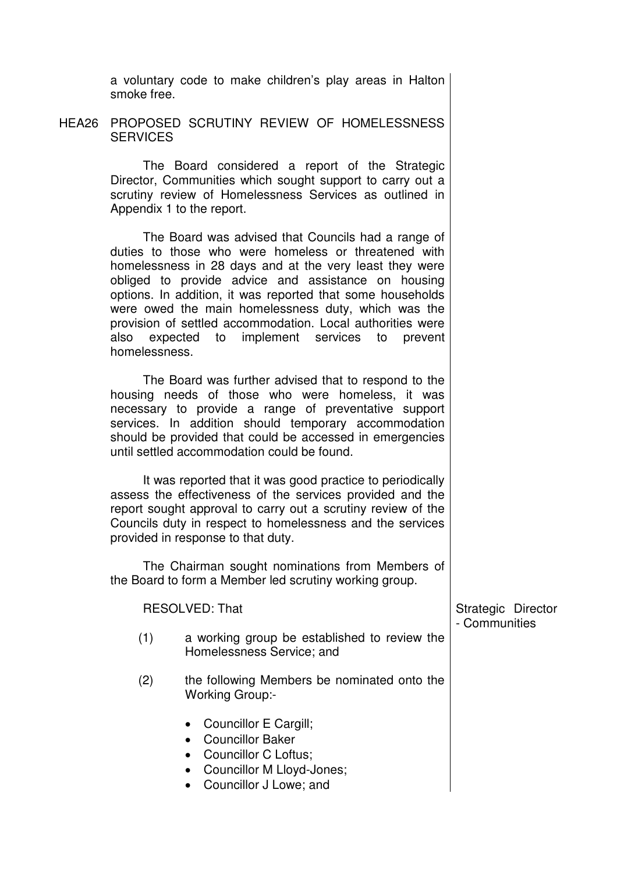a voluntary code to make children's play areas in Halton smoke free.

HEA26 PROPOSED SCRUTINY REVIEW OF HOMELESSNESS **SERVICES** 

> The Board considered a report of the Strategic Director, Communities which sought support to carry out a scrutiny review of Homelessness Services as outlined in Appendix 1 to the report.

> The Board was advised that Councils had a range of duties to those who were homeless or threatened with homelessness in 28 days and at the very least they were obliged to provide advice and assistance on housing options. In addition, it was reported that some households were owed the main homelessness duty, which was the provision of settled accommodation. Local authorities were also expected to implement services to prevent homelessness.

> The Board was further advised that to respond to the housing needs of those who were homeless, it was necessary to provide a range of preventative support services. In addition should temporary accommodation should be provided that could be accessed in emergencies until settled accommodation could be found.

> It was reported that it was good practice to periodically assess the effectiveness of the services provided and the report sought approval to carry out a scrutiny review of the Councils duty in respect to homelessness and the services provided in response to that duty.

> The Chairman sought nominations from Members of the Board to form a Member led scrutiny working group.

| <b>RESOLVED: That</b> |     |                                                                                                                                                                                       | Strategic Director<br>- Communities |
|-----------------------|-----|---------------------------------------------------------------------------------------------------------------------------------------------------------------------------------------|-------------------------------------|
|                       | (1) | a working group be established to review the<br>Homelessness Service; and                                                                                                             |                                     |
|                       | (2) | the following Members be nominated onto the<br><b>Working Group:-</b>                                                                                                                 |                                     |
|                       |     | • Councillor E Cargill;<br><b>Councillor Baker</b><br>$\bullet$<br>Councillor C Loftus;<br>$\bullet$<br>Councillor M Lloyd-Jones;<br>$\bullet$<br>Councillor J Lowe; and<br>$\bullet$ |                                     |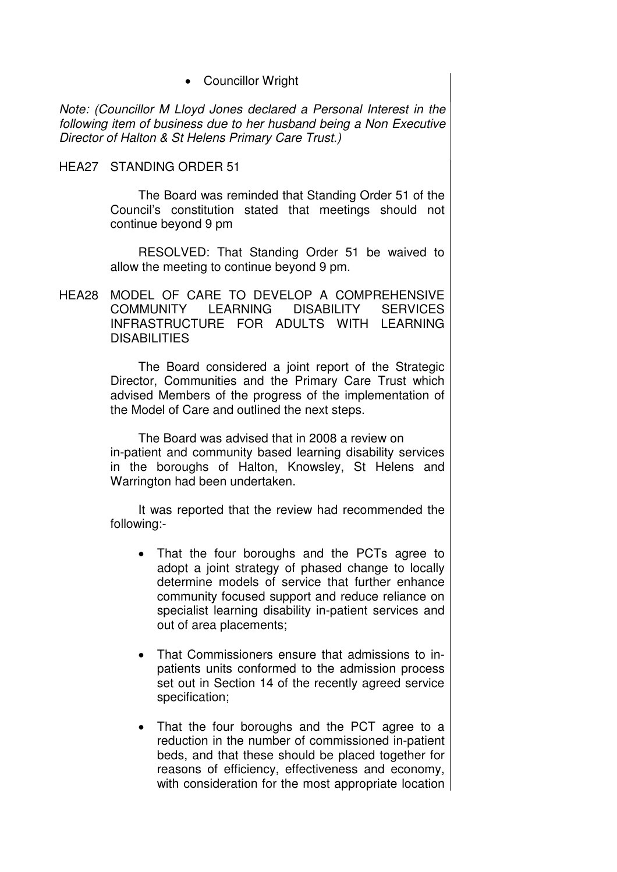• Councillor Wright

Note: (Councillor M Lloyd Jones declared a Personal Interest in the following item of business due to her husband being a Non Executive Director of Halton & St Helens Primary Care Trust.)

#### HEA27 STANDING ORDER 51

 The Board was reminded that Standing Order 51 of the Council's constitution stated that meetings should not continue beyond 9 pm

RESOLVED: That Standing Order 51 be waived to allow the meeting to continue beyond 9 pm.

HEA28 MODEL OF CARE TO DEVELOP A COMPREHENSIVE COMMUNITY LEARNING DISABILITY SERVICES INFRASTRUCTURE FOR ADULTS WITH LEARNING **DISABILITIES** 

> The Board considered a joint report of the Strategic Director, Communities and the Primary Care Trust which advised Members of the progress of the implementation of the Model of Care and outlined the next steps.

> The Board was advised that in 2008 a review on in-patient and community based learning disability services in the boroughs of Halton, Knowsley, St Helens and Warrington had been undertaken.

> It was reported that the review had recommended the following:-

- That the four boroughs and the PCTs agree to adopt a joint strategy of phased change to locally determine models of service that further enhance community focused support and reduce reliance on specialist learning disability in-patient services and out of area placements;
- That Commissioners ensure that admissions to inpatients units conformed to the admission process set out in Section 14 of the recently agreed service specification;
- That the four boroughs and the PCT agree to a reduction in the number of commissioned in-patient beds, and that these should be placed together for reasons of efficiency, effectiveness and economy, with consideration for the most appropriate location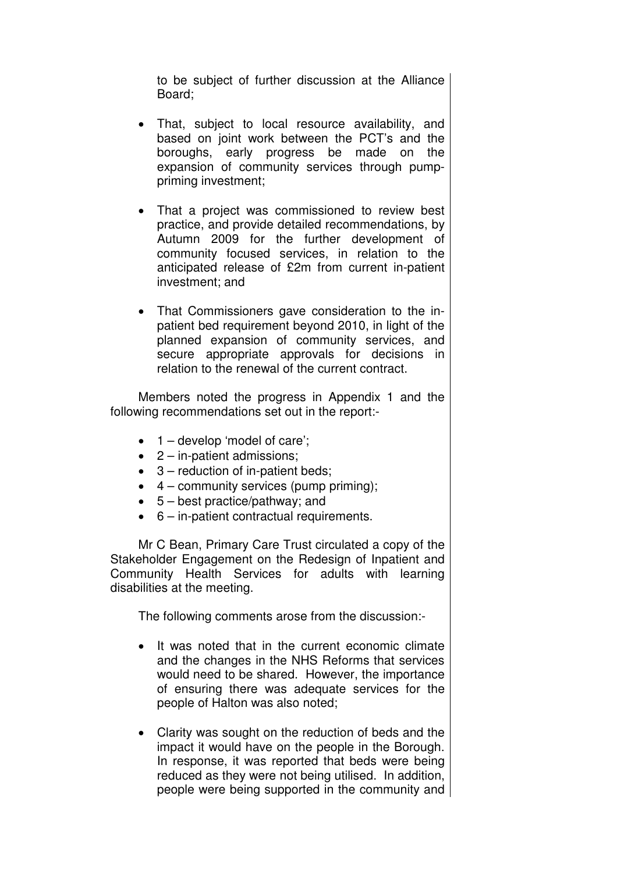to be subject of further discussion at the Alliance Board;

- That, subject to local resource availability, and based on joint work between the PCT's and the boroughs, early progress be made on the expansion of community services through pumppriming investment;
- That a project was commissioned to review best practice, and provide detailed recommendations, by Autumn 2009 for the further development of community focused services, in relation to the anticipated release of £2m from current in-patient investment; and
- That Commissioners gave consideration to the inpatient bed requirement beyond 2010, in light of the planned expansion of community services, and secure appropriate approvals for decisions in relation to the renewal of the current contract.

Members noted the progress in Appendix 1 and the following recommendations set out in the report:-

- $\bullet$  1 develop 'model of care';
- 2 in-patient admissions;
- 3 reduction of in-patient beds;
- $\bullet$  4 community services (pump priming);
- 5 best practice/pathway; and
- 6 in-patient contractual requirements.

Mr C Bean, Primary Care Trust circulated a copy of the Stakeholder Engagement on the Redesign of Inpatient and Community Health Services for adults with learning disabilities at the meeting.

The following comments arose from the discussion:-

- It was noted that in the current economic climate and the changes in the NHS Reforms that services would need to be shared. However, the importance of ensuring there was adequate services for the people of Halton was also noted;
- Clarity was sought on the reduction of beds and the impact it would have on the people in the Borough. In response, it was reported that beds were being reduced as they were not being utilised. In addition, people were being supported in the community and